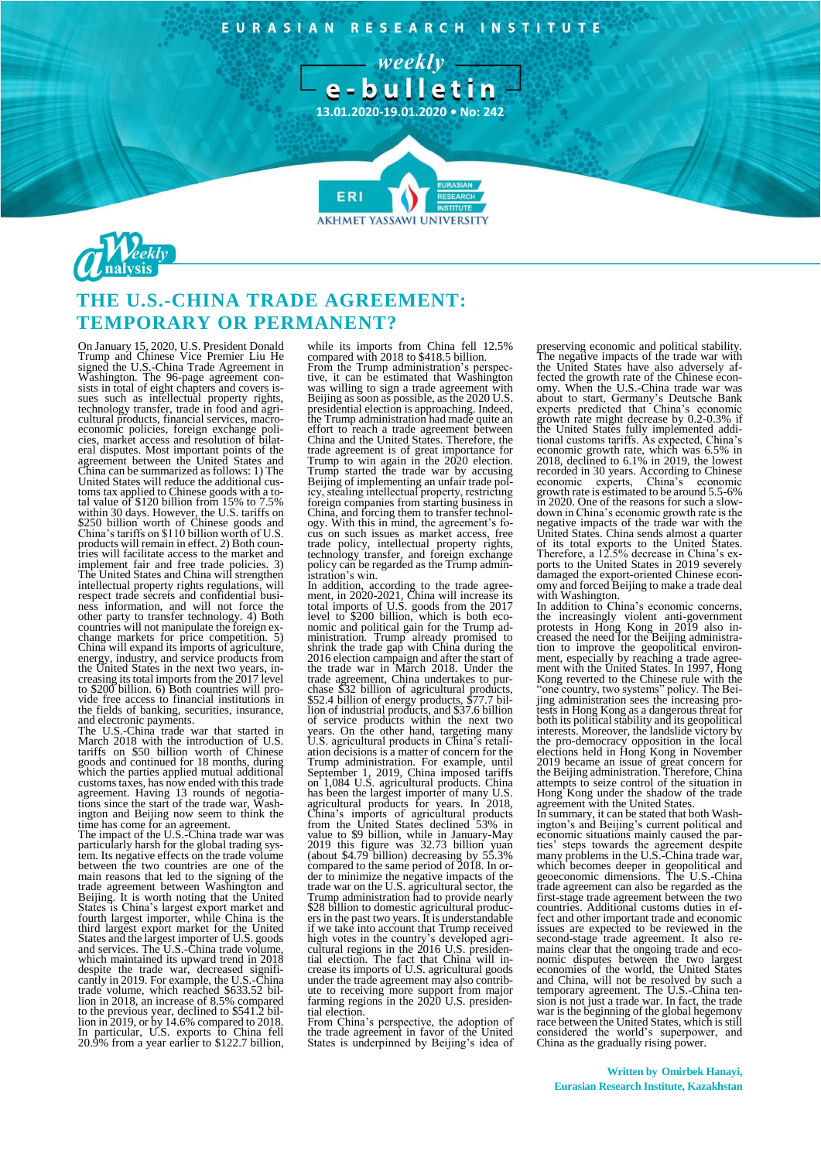EURASIAN RESEARCH INSTITUTE







## **THE U.S.-CHINA TRADE AGREEMENT: TEMPORARY OR PERMANENT?**

On January 15, 2020, U.S. President Donald<br>Trump and Chinese Vice Premier Liu He<br>signed the U.S.-China Trade Agreement in<br>Washington. The 96-page agreement consists in total of eight chapters and covers is-<br>sues such as in cies, market access and resolution of bilat-eral disputes. Most important points of the agreement between the United States and China can be summarized as follows: 1) The United States will reduce the additional cus-toms tax applied to Chinese goods with a total value of \$120 billion from 15% to 7.5% within 30 days. However, the U.S. tariffs on \$250 billion worth of Chinese goods and China's tariffs on \$110 billion worth of U.S. products will remain in effect. 2) Both coun-<br>tries will facilitate access to the market and<br>implement fair and free trade policies. 3)<br>The United States and China will strengthen intellectual property rights regulations, will respect trade secrets and confidential business information, and will not force the other party to transfer technology. 4) Both countries will not manipulate the foreign exchange markets for price competition. 5)<br>China will expand its imports of agriculture,<br>energy, industry, and service products from<br>the United States in the next two years, in-<br>creasing its total imports from the 2017 level vide free access to financial institutions in the fields of banking, securities, insurance,

and electronic payments. The U.S.-China trade war that started in March 2018 with the introduction of U.S. tariffs on \$50 billion worth of Chinese goods and continued for 18 months, during which the parties applied mutual additional customs taxes, has now ended with this trade agreement. Having 13 rounds of negotia-tions since the start of the trade war, Washington and Beijing now seem to think the time has come for an agreement. The impact of the U.S.-China trade war was

particularly harsh for the global trading sys-tem. Its negative effects on the trade volume between the two countries are one of the main reasons that led to the signing of the trade agreement between Washington and Beijing. It is worth noting that the United States is China's largest export market and fourth largest importer, while China is the third largest export market for the United States and the largest importer of U.S. goods and services. The U.S.-China trade volume, which maintained its upward trend in 2018 despite the trade war, decreased significantly in 2019. For example, the U.S.-China<br>trade volume, which reached \$633.52 bil-<br>trade volume, which reached \$633.52 bil-<br>lion in 2018, an increase of 8.5% compared<br>to the previo

while its imports from China fell 12.5% compared with 2018 to \$418.5 billion. From the Trump administration's perspective, it can be estimated that Washington was willing to sign a trade agreement with Beijing as soon as possible, as the 2020 U.S. presidential election is approaching. Indeed,<br>the Trump administration had made quite an<br>effort to reach a trade agreement between<br>China and the United States. Therefore, the trade agreement is of great importance for<br>Trump to win again in the 2020 election.<br>Trump started the trade war by accusing<br>Beijing of implementing an unfair trade pol-<br>icy, stealing intellectual property, restricting<br>fore China, and forcing them to transfer technol-ogy. With this in mind, the agreement's fo-cus on such issues as market access, free trade policy, intellectual property rights, technology transfer, and foreign exchange policy can be regarded as the Trump administration's win.

In addition, according to the trade agree-ment, in 2020-2021, China will increase its total imports of U.S. goods from the 2017 level to \$200 billion, which is both eco-nomic and political gain for the Trump administration. Trump already promised to<br>shrink the trade gap with China during the<br>2016 election campaign and after the start of<br>the trade war in March 2018. Under the<br>trade agreement, China undertakes to pur-<br>chase \$52 bi ation decisions is a matter of concern for the<br>Trump administration. For example, until<br>September 1, 2019, China imposed tariffs<br>Son 1,084 U.S. agricultural products. China<br>has been the largest importer of many U.S.<br>agricu value to \$9 billion, while in January-May 2019 this figure was 32.73 billion yuan (about \$4.79 billion) decreasing by 55.3% compared to the same period of 2018. In or-<br>der to minimize the negative impacts of the same perio Trump administration had to provide nearly \$28 billion to domestic agricultural produc-ers in the past two years. It is understandable if we take into account that Trump received high votes in the country's developed agri-cultural regions in the 2016 U.S. presiden-tial election. The fact that China will increase its imports of U.S. agricultural goods under the trade agreement may also contrib-ute to receiving more support from major farming regions in the 2020 U.S. presidential election.

From China's perspective, the adoption of the trade agreement in favor of the United States is underpinned by Beijing's idea of

The negative impacts of the trade war with<br>the United States of the trade war with<br>the United States have also adversely af-<br>fected the growth rate of the Chinese econ-<br>omy. When the U.S.-China trade war was<br>about to start recorded in 30 years. According to Chinese economic experts, China's economic growth rate is estimated to be around 5.5-6% in 2020. One of the reasons for such a slowdown in China's economic growth rate is the negative impacts of the trade war with the United States. China sends almost a quarter of its total exports to the United States. Therefore, a 12.5% decrease in China's ex-ports to the United States in 2019 severely damaged the export-oriented Chinese econ-omy and forced Beijing to make a trade deal with Washington.

In addition to China's economic concerns, the increasingly violent anti-government protests in Hong Kong in 2019 also in-creased the need for the Beijing administration to improve the geopolitical environ-ment, especially by reaching a trade agree-ment with the United States. In 1997, Hong Kong reverted to the Chinese rule with the "one country, two systems" policy. The Bei-jing administration sees the increasing protests in Hong Kong as a dangerous threat for both its political stability and its geopolitical interests. Moreover, the landslide victory by the pro-democracy opposition in the local<br>elections held in Hong Kong in November<br>2019 became an issue of great concern for<br>the Beijing administration. Therefore, China<br>attempts to seize control of the situation in<br>Hong Ko agreement with the United States.

In summary, it can be stated that both Wash-ington's and Beijing's current political and economic situations mainly caused the parties' steps towards the agreement despite many problems in the U.S.-China trade war, which becomes deeper in geopolitical and geoeconomic dimensions. The U.S.-China trade agreement can also be regarded as the first-stage trade agreement between the two countries. Additional customs duties in effect and other important trade and economic<br>issues are expected to be reviewed in the<br>second-stage trade agreement. It also re-<br>mains clear that the ongoing trade and eco-<br>nomic disputes between the two largest<br>economies o war is the beginning of the global hegemony race between the United States, which is still considered the world's superpower, and China as the gradually rising power.

**Written by Omirbek Hanayi, Eurasian Research Institute, Kazakhstan**